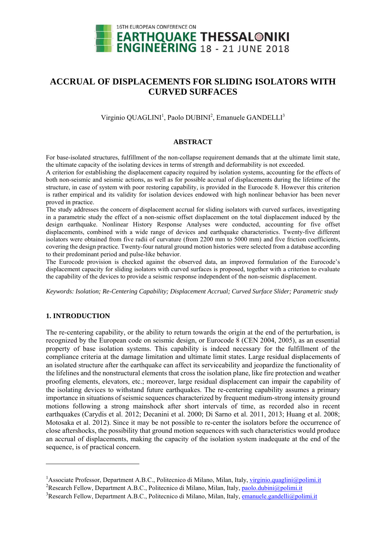

# **ACCRUAL OF DISPLACEMENTS FOR SLIDING ISOLATORS WITH CURVED SURFACES**

Virginio QUAGLINI<sup>1</sup>, Paolo DUBINI<sup>2</sup>, Emanuele GANDELLI<sup>3</sup>

# **ABSTRACT**

For base-isolated structures, fulfillment of the non-collapse requirement demands that at the ultimate limit state, the ultimate capacity of the isolating devices in terms of strength and deformability is not exceeded.

A criterion for establishing the displacement capacity required by isolation systems, accounting for the effects of both non-seismic and seismic actions, as well as for possible accrual of displacements during the lifetime of the structure, in case of system with poor restoring capability, is provided in the Eurocode 8. However this criterion is rather empirical and its validity for isolation devices endowed with high nonlinear behavior has been never proved in practice.

The study addresses the concern of displacement accrual for sliding isolators with curved surfaces, investigating in a parametric study the effect of a non-seismic offset displacement on the total displacement induced by the design earthquake. Nonlinear History Response Analyses were conducted, accounting for five offset displacements, combined with a wide range of devices and earthquake characteristics. Twenty-five different isolators were obtained from five radii of curvature (from 2200 mm to 5000 mm) and five friction coefficients, covering the design practice. Twenty-four natural ground motion histories were selected from a database according to their predominant period and pulse-like behavior.

The Eurocode provision is checked against the observed data, an improved formulation of the Eurocode's displacement capacity for sliding isolators with curved surfaces is proposed, together with a criterion to evaluate the capability of the devices to provide a seismic response independent of the non-seismic displacement.

*Keywords: Isolation; Re-Centering Capability; Displacement Accrual; Curved Surface Slider; Parametric study* 

# **1. INTRODUCTION**

1

The re-centering capability, or the ability to return towards the origin at the end of the perturbation, is recognized by the European code on seismic design, or Eurocode 8 (CEN 2004, 2005), as an essential property of base isolation systems. This capability is indeed necessary for the fulfillment of the compliance criteria at the damage limitation and ultimate limit states. Large residual displacements of an isolated structure after the earthquake can affect its serviceability and jeopardize the functionality of the lifelines and the nonstructural elements that cross the isolation plane, like fire protection and weather proofing elements, elevators, etc.; moreover, large residual displacement can impair the capability of the isolating devices to withstand future earthquakes. The re-centering capability assumes a primary importance in situations of seismic sequences characterized by frequent medium-strong intensity ground motions following a strong mainshock after short intervals of time, as recorded also in recent earthquakes (Carydis et al. 2012; Decanini et al. 2000; Di Sarno et al. 2011, 2013; Huang et al. 2008; Motosaka et al. 2012). Since it may be not possible to re-center the isolators before the occurrence of close aftershocks, the possibility that ground motion sequences with such characteristics would produce an accrual of displacements, making the capacity of the isolation system inadequate at the end of the sequence, is of practical concern.

<sup>&</sup>lt;sup>1</sup> Associate Professor, Department A.B.C., Politecnico di Milano, Milan, Italy, <u>virginio.quaglini@polimi.it</u><br><sup>2</sup> Besearch Fellow, Department A.B.C., Politecnico di Milano, Milan, Italy, poelo dubini@polimi.it

<sup>&</sup>lt;sup>2</sup>Research Fellow, Department A.B.C., Politecnico di Milano, Milan, Italy, paolo.dubini@polimi.it

<sup>&</sup>lt;sup>3</sup>Research Fellow, Department A.B.C., Politecnico di Milano, Milan, Italy, emanuele.gandelli@polimi.it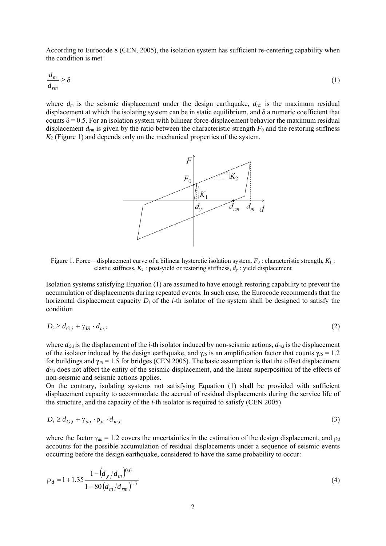According to Eurocode 8 (CEN, 2005), the isolation system has sufficient re-centering capability when the condition is met

$$
\frac{d_m}{d_{rm}} \ge \delta \tag{1}
$$

where  $d_m$  is the seismic displacement under the design earthquake,  $d_{rm}$  is the maximum residual displacement at which the isolating system can be in static equilibrium, and δ a numeric coefficient that counts  $\delta$  = 0.5. For an isolation system with bilinear force-displacement behavior the maximum residual displacement  $d_{rm}$  is given by the ratio between the characteristic strength  $F_0$  and the restoring stiffness *K*2 (Figure 1) and depends only on the mechanical properties of the system.



Figure 1. Force – displacement curve of a bilinear hysteretic isolation system. *F*0 : characteristic strength, *K*1 : elastic stiffness,  $K_2$ : post-yield or restoring stiffness,  $d<sub>y</sub>$ : yield displacement

Isolation systems satisfying Equation (1) are assumed to have enough restoring capability to prevent the accumulation of displacements during repeated events. In such case, the Eurocode recommends that the horizontal displacement capacity *Di* of the *i*-th isolator of the system shall be designed to satisfy the condition

$$
D_i \ge d_{G,i} + \gamma_{IS} \cdot d_{m,i} \tag{2}
$$

where  $d_{G,i}$  is the displacement of the *i*-th isolator induced by non-seismic actions,  $d_{m,i}$  is the displacement of the isolator induced by the design earthquake, and  $\gamma_{I\bar{S}}$  is an amplification factor that counts  $\gamma_{I\bar{S}} = 1.2$ for buildings and  $\gamma_{IS}$  = 1.5 for bridges (CEN 2005). The basic assumption is that the offset displacement  $d_{G,i}$  does not affect the entity of the seismic displacement, and the linear superposition of the effects of non-seismic and seismic actions applies.

On the contrary, isolating systems not satisfying Equation (1) shall be provided with sufficient displacement capacity to accommodate the accrual of residual displacements during the service life of the structure, and the capacity of the *i*-th isolator is required to satisfy (CEN 2005)

$$
D_i \ge d_{G,i} + \gamma_{du} \cdot \rho_d \cdot d_{m,i} \tag{3}
$$

where the factor  $\gamma_{du} = 1.2$  covers the uncertainties in the estimation of the design displacement, and  $\rho_d$ accounts for the possible accumulation of residual displacements under a sequence of seismic events occurring before the design earthquake, considered to have the same probability to occur:

$$
\rho_d = 1 + 1.35 \frac{1 - (d_y/d_m)^{0.6}}{1 + 80 (d_m/d_{rm})^{1.5}}
$$
(4)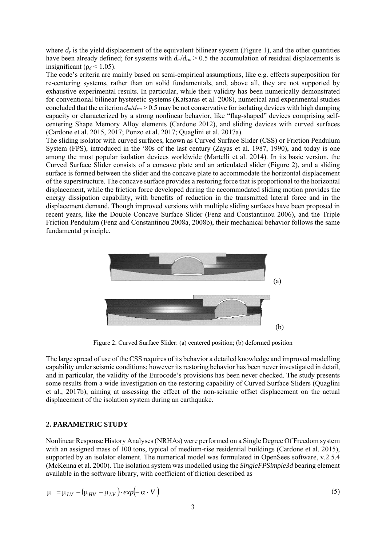where  $d<sub>y</sub>$  is the yield displacement of the equivalent bilinear system (Figure 1), and the other quantities have been already defined; for systems with  $d_m/d_{rm} > 0.5$  the accumulation of residual displacements is insignificant ( $\rho_d$  < 1.05).

The code's criteria are mainly based on semi-empirical assumptions, like e.g. effects superposition for re-centering systems, rather than on solid fundamentals, and, above all, they are not supported by exhaustive experimental results. In particular, while their validity has been numerically demonstrated for conventional bilinear hysteretic systems (Katsaras et al. 2008), numerical and experimental studies concluded that the criterion  $d_m/d_{rm} > 0.5$  may be not conservative for isolating devices with high damping capacity or characterized by a strong nonlinear behavior, like "flag-shaped" devices comprising selfcentering Shape Memory Alloy elements (Cardone 2012), and sliding devices with curved surfaces (Cardone et al. 2015, 2017; Ponzo et al. 2017; Quaglini et al. 2017a).

The sliding isolator with curved surfaces, known as Curved Surface Slider (CSS) or Friction Pendulum System (FPS), introduced in the '80s of the last century (Zayas et al. 1987, 1990), and today is one among the most popular isolation devices worldwide (Martelli et al. 2014). In its basic version, the Curved Surface Slider consists of a concave plate and an articulated slider (Figure 2), and a sliding surface is formed between the slider and the concave plate to accommodate the horizontal displacement of the superstructure. The concave surface provides a restoring force that is proportional to the horizontal displacement, while the friction force developed during the accommodated sliding motion provides the energy dissipation capability, with benefits of reduction in the transmitted lateral force and in the displacement demand. Though improved versions with multiple sliding surfaces have been proposed in recent years, like the Double Concave Surface Slider (Fenz and Constantinou 2006), and the Triple Friction Pendulum (Fenz and Constantinou 2008a, 2008b), their mechanical behavior follows the same fundamental principle.



Figure 2. Curved Surface Slider: (a) centered position; (b) deformed position

The large spread of use of the CSS requires of its behavior a detailed knowledge and improved modelling capability under seismic conditions; however its restoring behavior has been never investigated in detail, and in particular, the validity of the Eurocode's provisions has been never checked. The study presents some results from a wide investigation on the restoring capability of Curved Surface Sliders (Quaglini et al., 2017b), aiming at assessing the effect of the non-seismic offset displacement on the actual displacement of the isolation system during an earthquake.

# **2. PARAMETRIC STUDY**

Nonlinear Response History Analyses (NRHAs) were performed on a Single Degree Of Freedom system with an assigned mass of 100 tons, typical of medium-rise residential buildings (Cardone et al. 2015), supported by an isolator element. The numerical model was formulated in OpenSees software, v.2.5.4 (McKenna et al. 2000). The isolation system was modelled using the *SingleFPSimple3d* bearing element available in the software library, with coefficient of friction described as

$$
\mu = \mu_{LV} - (\mu_{HV} - \mu_{LV}) \cdot exp(-\alpha \cdot |V|)
$$
\n(5)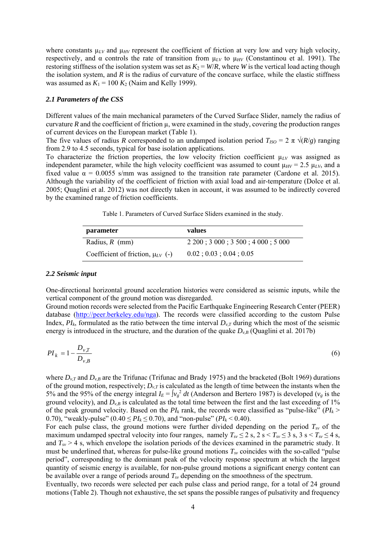where constants  $\mu_{LV}$  and  $\mu_{HV}$  represent the coefficient of friction at very low and very high velocity, respectively, and α controls the rate of transition from  $\mu_{LV}$  to  $\mu_{HV}$  (Constantinou et al. 1991). The restoring stiffness of the isolation system was set as  $K_2 = W/R$ , where *W* is the vertical load acting though the isolation system, and  $R$  is the radius of curvature of the concave surface, while the elastic stiffness was assumed as  $K_1 = 100 K_2$  (Naim and Kelly 1999).

## *2.1 Parameters of the CSS*

Different values of the main mechanical parameters of the Curved Surface Slider, namely the radius of curvature  $R$  and the coefficient of friction  $\mu$ , were examined in the study, covering the production ranges of current devices on the European market (Table 1).

The five values of radius *R* corresponded to an undamped isolation period  $T_{ISO} = 2 \pi \sqrt{(R/g)}$  ranging from 2.9 to 4.5 seconds, typical for base isolation applications.

To characterize the friction properties, the low velocity friction coefficient  $\mu_{LV}$  was assigned as independent parameter, while the high velocity coefficient was assumed to count  $\mu_{HV} = 2.5 \mu_{LV}$ , and a fixed value  $\alpha = 0.0055$  s/mm was assigned to the transition rate parameter (Cardone et al. 2015). Although the variability of the coefficient of friction with axial load and air-temperature (Dolce et al. 2005; Quaglini et al. 2012) was not directly taken in account, it was assumed to be indirectly covered by the examined range of friction coefficients.

|  |  |  |  |  | Table 1. Parameters of Curved Surface Sliders examined in the study. |  |
|--|--|--|--|--|----------------------------------------------------------------------|--|
|--|--|--|--|--|----------------------------------------------------------------------|--|

| parameter                               | values                                               |  |  |
|-----------------------------------------|------------------------------------------------------|--|--|
| Radius, $R$ (mm)                        | $2\,200$ ; $3\,000$ ; $3\,500$ ; $4\,000$ ; $5\,000$ |  |  |
| Coefficient of friction, $\mu_{LV}$ (-) | 0.02:0.03:0.04:0.05                                  |  |  |

#### *2.2 Seismic input*

One-directional horizontal ground acceleration histories were considered as seismic inputs, while the vertical component of the ground motion was disregarded.

Ground motion records were selected from the Pacific Earthquake Engineering Research Center (PEER) database (http://peer.berkeley.edu/nga). The records were classified according to the custom Pulse Index,  $PI_k$ , formulated as the ratio between the time interval  $D_{v,T}$  during which the most of the seismic energy is introduced in the structure, and the duration of the quake  $D_{v,B}$  (Quaglini et al. 2017b)

$$
PI_k = 1 - \frac{D_{\nu,T}}{D_{\nu,B}}
$$
(6)

where  $D_{v,T}$  and  $D_{v,B}$  are the Trifunac (Trifunac and Brady 1975) and the bracketed (Bolt 1969) durations of the ground motion, respectively;  $D_{v,T}$  is calculated as the length of time between the instants when the 5% and the 95% of the energy integral  $I_E = \int v_g^2 dt$  (Anderson and Bertero 1987) is developed ( $v_g$  is the ground velocity), and  $D_{v,B}$  is calculated as the total time between the first and the last exceeding of 1% of the peak ground velocity. Based on the  $PI_k$  rank, the records were classified as "pulse-like" ( $PI_k$  > 0.70), "weakly-pulse"  $(0.40 \leq PI_k \leq 0.70)$ , and "non-pulse"  $(PI_k < 0.40)$ .

For each pulse class, the ground motions were further divided depending on the period  $T_{sv}$  of the maximum undamped spectral velocity into four ranges, namely  $T_{sv} \le 2$  s,  $2$  s  $\le T_{sv} \le 3$  s,  $3$  s  $\le T_{sv} \le 4$  s, and  $T_{\rm sv} > 4$  s, which envelope the isolation periods of the devices examined in the parametric study. It must be underlined that, whereas for pulse-like ground motions  $T_{sv}$  coincides with the so-called "pulse" period", corresponding to the dominant peak of the velocity response spectrum at which the largest quantity of seismic energy is available, for non-pulse ground motions a significant energy content can be available over a range of periods around *Tsv* depending on the smoothness of the spectrum.

Eventually, two records were selected per each pulse class and period range, for a total of 24 ground motions (Table 2). Though not exhaustive, the set spans the possible ranges of pulsativity and frequency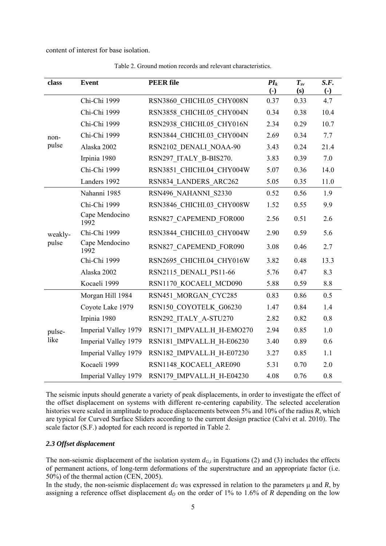content of interest for base isolation.

| class            | <b>Event</b>           | <b>PEER file</b>          | $PI_k$<br>$\left( -\right)$ | $T_{sv}$<br>(s) | S.F.<br>$\left( \text{-} \right)$ |
|------------------|------------------------|---------------------------|-----------------------------|-----------------|-----------------------------------|
| non-<br>pulse    | Chi-Chi 1999           | RSN3860 CHICHI.05 CHY008N | 0.37                        | 0.33            | 4.7                               |
|                  | Chi-Chi 1999           | RSN3858 CHICHI.05 CHY004N | 0.34                        | 0.38            | 10.4                              |
|                  | Chi-Chi 1999           | RSN2938 CHICHI.05 CHY016N | 2.34                        | 0.29            | 10.7                              |
|                  | Chi-Chi 1999           | RSN3844 CHICHI.03 CHY004N | 2.69                        | 0.34            | 7.7                               |
|                  | Alaska 2002            | RSN2102 DENALI NOAA-90    | 3.43                        | 0.24            | 21.4                              |
|                  | Irpinia 1980           | RSN297 ITALY B-BIS270.    | 3.83                        | 0.39            | 7.0                               |
|                  | Chi-Chi 1999           | RSN3851 CHICHI.04 CHY004W | 5.07                        | 0.36            | 14.0                              |
|                  | Landers 1992           | RSN834 LANDERS ARC262     | 5.05                        | 0.35            | 11.0                              |
| weakly-<br>pulse | Nahanni 1985           | RSN496 NAHANNI S2330      | 0.52                        | 0.56            | 1.9                               |
|                  | Chi-Chi 1999           | RSN3846 CHICHI.03 CHY008W | 1.52                        | 0.55            | 9.9                               |
|                  | Cape Mendocino<br>1992 | RSN827 CAPEMEND FOR000    | 2.56                        | 0.51            | 2.6                               |
|                  | Chi-Chi 1999           | RSN3844 CHICHI.03 CHY004W | 2.90                        | 0.59            | 5.6                               |
|                  | Cape Mendocino<br>1992 | RSN827 CAPEMEND FOR090    | 3.08                        | 0.46            | 2.7                               |
|                  | Chi-Chi 1999           | RSN2695 CHICHI.04 CHY016W | 3.82                        | 0.48            | 13.3                              |
|                  | Alaska 2002            | RSN2115 DENALI PS11-66    | 5.76                        | 0.47            | 8.3                               |
|                  | Kocaeli 1999           | RSN1170 KOCAELI MCD090    | 5.88                        | 0.59            | 8.8                               |
| pulse-<br>like   | Morgan Hill 1984       | RSN451 MORGAN CYC285      | 0.83                        | 0.86            | 0.5                               |
|                  | Coyote Lake 1979       | RSN150 COYOTELK G06230    | 1.47                        | 0.84            | 1.4                               |
|                  | Irpinia 1980           | RSN292 ITALY A-STU270     | 2.82                        | 0.82            | 0.8                               |
|                  | Imperial Valley 1979   | RSN171 IMPVALL.H H-EMO270 | 2.94                        | 0.85            | 1.0                               |
|                  | Imperial Valley 1979   | RSN181_IMPVALL.H H-E06230 | 3.40                        | 0.89            | 0.6                               |
|                  | Imperial Valley 1979   | RSN182 IMPVALL.H H-E07230 | 3.27                        | 0.85            | 1.1                               |
|                  | Kocaeli 1999           | RSN1148 KOCAELI ARE090    | 5.31                        | 0.70            | 2.0                               |
|                  | Imperial Valley 1979   | RSN179 IMPVALL.H H-E04230 | 4.08                        | 0.76            | 0.8                               |

Table 2. Ground motion records and relevant characteristics.

The seismic inputs should generate a variety of peak displacements, in order to investigate the effect of the offset displacement on systems with different re-centering capability. The selected acceleration histories were scaled in amplitude to produce displacements between 5% and 10% of the radius *R*, which are typical for Curved Surface Sliders according to the current design practice (Calvi et al. 2010). The scale factor (S.F.) adopted for each record is reported in Table 2.

### *2.3 Offset displacement*

The non-seismic displacement of the isolation system  $d_{G,i}$  in Equations (2) and (3) includes the effects of permanent actions, of long-term deformations of the superstructure and an appropriate factor (i.e. 50%) of the thermal action (CEN, 2005).

In the study, the non-seismic displacement  $d_G$  was expressed in relation to the parameters  $\mu$  and  $R$ , by assigning a reference offset displacement  $d<sub>0</sub>$  on the order of 1% to 1.6% of *R* depending on the low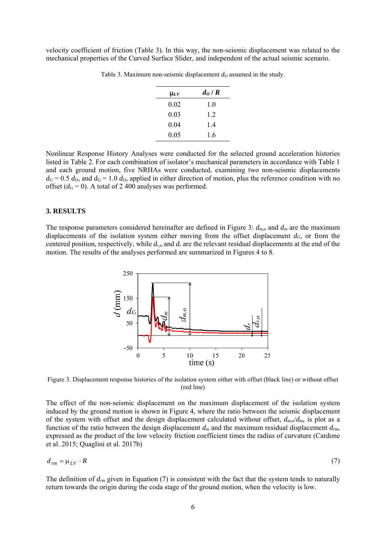velocity coefficient of friction (Table 3). In this way, the non-seismic displacement was related to the mechanical properties of the Curved Surface Slider, and independent of the actual seismic scenario.

| $\mathsf{\mu}_{LV}$ | $d_O/R$ |
|---------------------|---------|
| 0.02                | 1.0     |
| 0.03                | 1.2     |
| 0.04                | 1.4     |
| 0.05                | 1.6     |

Table 3. Maximum non-seismic displacement  $d<sub>Q</sub>$  assumed in the study.

Nonlinear Response History Analyses were conducted for the selected ground acceleration histories listed in Table 2. For each combination of isolator's mechanical parameters in accordance with Table 1 and each ground motion, five NRHAs were conducted, examining two non-seismic displacements  $d<sub>G</sub> = 0.5 d<sub>O</sub>$ , and  $d<sub>G</sub> = 1.0 d<sub>O</sub>$ , applied in either direction of motion, plus the reference condition with no offset  $(d<sub>G</sub> = 0)$ . A total of 2 400 analyses was performed.

#### **3. RESULTS**

The response parameters considered hereinafter are defined in Figure 3: *dm,o* and *dm* are the maximum displacements of the isolation system either moving from the offset displacement  $d_G$ , or from the centered position, respectively, while *dr,o* and *dr* are the relevant residual displacements at the end of the motion. The results of the analyses performed are summarized in Figures 4 to 8.



Figure 3. Displacement response histories of the isolation system either with offset (black line) or without offset (red line)

The effect of the non-seismic displacement on the maximum displacement of the isolation system induced by the ground motion is shown in Figure 4, where the ratio between the seismic displacement of the system with offset and the design displacement calculated without offset,  $d_{m,o}/d_m$  is plot as a function of the ratio between the design displacement *dm* and the maximum residual displacement *drm*, expressed as the product of the low velocity friction coefficient times the radius of curvature (Cardone et al. 2015; Quaglini et al. 2017b)

$$
d_{rm} = \mu_{LV} \cdot R \tag{7}
$$

The definition of  $d_{rm}$  given in Equation (7) is consistent with the fact that the system tends to naturally return towards the origin during the coda stage of the ground motion, when the velocity is low.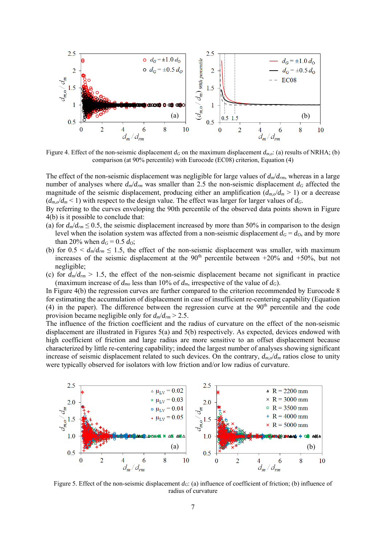

Figure 4. Effect of the non-seismic displacement  $d_G$  on the maximum displacement  $d_{mo}$ : (a) results of NRHA; (b) comparison (at 90% percentile) with Eurocode (EC08) criterion, Equation (4)

The effect of the non-seismic displacement was negligible for large values of *dm*/*drm*, whereas in a large number of analyses where  $d_m/d_{rm}$  was smaller than 2.5 the non-seismic displacement  $d_G$  affected the magnitude of the seismic displacement, producing either an amplification  $(d_m/d_m > 1)$  or a decrease  $(d_{m,o}/d_m < 1)$  with respect to the design value. The effect was larger for larger values of  $d_G$ .

By referring to the curves enveloping the 90th percentile of the observed data points shown in Figure 4(b) is it possible to conclude that:

- (a) for  $d_m/d_{rm} \le 0.5$ , the seismic displacement increased by more than 50% in comparison to the design level when the isolation system was affected from a non-seismic displacement  $d_G = d_O$ , and by more than 20% when  $d_G = 0.5 d_O$ ;
- (b) for  $0.5 \le d_m/d_{rm} \le 1.5$ , the effect of the non-seismic displacement was smaller, with maximum increases of the seismic displacement at the  $90<sup>th</sup>$  percentile between +20% and +50%, but not negligible;
- (c) for  $d_m/d_{rm} > 1.5$ , the effect of the non-seismic displacement became not significant in practice (maximum increase of  $d_{mo}$  less than 10% of  $d_m$ , irrespective of the value of  $d_G$ ).

In Figure 4(b) the regression curves are further compared to the criterion recommended by Eurocode 8 for estimating the accumulation of displacement in case of insufficient re-centering capability (Equation (4) in the paper). The difference between the regression curve at the  $90<sup>th</sup>$  percentile and the code provision became negligible only for *dm*/*drm* > 2.5.

The influence of the friction coefficient and the radius of curvature on the effect of the non-seismic displacement are illustrated in Figures 5(a) and 5(b) respectively. As expected, devices endowed with high coefficient of friction and large radius are more sensitive to an offset displacement because characterized by little re-centering capability; indeed the largest number of analyses showing significant increase of seismic displacement related to such devices. On the contrary,  $d_{m,o}/d_m$  ratios close to unity were typically observed for isolators with low friction and/or low radius of curvature.



Figure 5. Effect of the non-seismic displacement *d<sub>G</sub>*: (a) influence of coefficient of friction; (b) influence of radius of curvature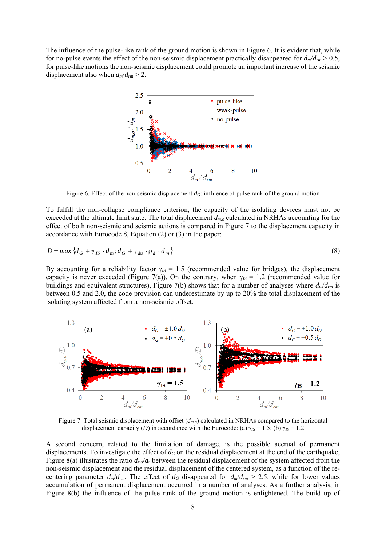The influence of the pulse-like rank of the ground motion is shown in Figure 6. It is evident that, while for no-pulse events the effect of the non-seismic displacement practically disappeared for  $d_m/d_{rm} > 0.5$ , for pulse-like motions the non-seismic displacement could promote an important increase of the seismic displacement also when  $d_m/d_{rm} > 2$ .



Figure 6. Effect of the non-seismic displacement  $d_G$ : influence of pulse rank of the ground motion

To fulfill the non-collapse compliance criterion, the capacity of the isolating devices must not be exceeded at the ultimate limit state. The total displacement *dm,o* calculated in NRHAs accounting for the effect of both non-seismic and seismic actions is compared in Figure 7 to the displacement capacity in accordance with Eurocode 8, Equation (2) or (3) in the paper:

$$
D = \max \left\{ d_G + \gamma_{IS} \cdot d_m; d_G + \gamma_{du} \cdot \rho_d \cdot d_m \right\} \tag{8}
$$

By accounting for a reliability factor  $\gamma_{IS} = 1.5$  (recommended value for bridges), the displacement capacity is never exceeded (Figure 7(a)). On the contrary, when  $\gamma_{IS} = 1.2$  (recommended value for buildings and equivalent structures), Figure 7(b) shows that for a number of analyses where *dm*/*drm* is between 0.5 and 2.0, the code provision can underestimate by up to 20% the total displacement of the isolating system affected from a non-seismic offset.



Figure 7. Total seismic displacement with offset (*dm.o*) calculated in NRHAs compared to the horizontal displacement capacity *(D)* in accordance with the Eurocode: (a)  $\gamma_{IS} = 1.5$ ; (b)  $\gamma_{IS} = 1.2$ 

A second concern, related to the limitation of damage, is the possible accrual of permanent displacements. To investigate the effect of  $d<sub>G</sub>$  on the residual displacement at the end of the earthquake, Figure 8(a) illustrates the ratio  $d_{r,o}/d_r$  between the residual displacement of the system affected from the non-seismic displacement and the residual displacement of the centered system, as a function of the recentering parameter  $d_m/d_{rm}$ . The effect of  $d_G$  disappeared for  $d_m/d_{rm} > 2.5$ , while for lower values accumulation of permanent displacement occurred in a number of analyses. As a further analysis, in Figure 8(b) the influence of the pulse rank of the ground motion is enlightened. The build up of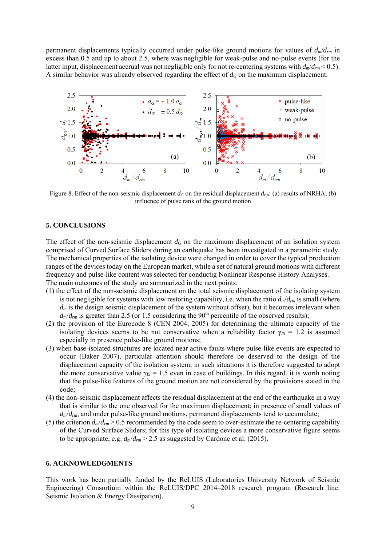permanent displacements typically occurred under pulse-like ground motions for values of *dm*/*drm* in excess than 0.5 and up to about 2.5, where was negligible for weak-pulse and no-pulse events (for the latter input, displacement accrual was not negligible only for not re-centering systems with *dm*/*drm* < 0.5). A similar behavior was already observed regarding the effect of  $d_G$  on the maximum displacement.



Figure 8. Effect of the non-seismic displacement  $d_G$  on the residual displacement  $d_{r,o}$ : (a) results of NRHA; (b) influence of pulse rank of the ground motion

# **5. CONCLUSIONS**

The effect of the non-seismic displacement  $d<sub>G</sub>$  on the maximum displacement of an isolation system comprised of Curved Surface Sliders during an earthquake has been investigated in a parametric study. The mechanical properties of the isolating device were changed in order to cover the typical production ranges of the devices today on the European market, while a set of natural ground motions with different frequency and pulse-like content was selected for conductig Nonlinear Response History Analyses. The main outcomes of the study are summarized in the next points.

- (1) the effect of the non-seismic displacement on the total seismic displacement of the isolating system is not negligible for systems with low restoring capability, i.e. when the ratio *dm*/*drm* is small (where  $d_m$  is the design seismic displacement of the system without offset), but it becomes irrelevant when  $d_m/d_{rm}$  is greater than 2.5 (or 1.5 considering the 90<sup>th</sup> percentile of the observed results);
- (2) the provision of the Eurocode 8 (CEN 2004, 2005) for determining the ultimate capacity of the isolating devices seems to be not conservative when a reliability factor  $\gamma_{IS} = 1.2$  is assumed especially in presence pulse-like ground motions;
- (3) when base-isolated structures are located near active faults where pulse-like events are expected to occur (Baker 2007), particular attention should therefore be deserved to the design of the displacement capacity of the isolation system; in such situations it is therefore suggested to adopt the more conservative value  $\gamma_{IS} = 1.5$  even in case of buildings. In this regard, it is worth noting that the pulse-like features of the ground motion are not considered by the provisions stated in the code;
- (4) the non-seismic displacement affects the residual displacement at the end of the earthquake in a way that is similar to the one observed for the maximum displacement; in presence of small values of *dm*/*drm*, and under pulse-like ground motions, permanent displacements tend to accumulate;
- (5) the criterion  $d_m/d_{rm} > 0.5$  recommended by the code seem to over-estimate the re-centering capability of the Curved Surface Sliders; for this type of isolating devices a more conservative figure seems to be appropriate, e.g.  $d_m/d_{rm} > 2.5$  as suggested by Cardone et al. (2015).

#### **6. ACKNOWLEDGMENTS**

This work has been partially funded by the ReLUIS (Laboratories University Network of Seismic Engineering) Consortium within the ReLUIS/DPC 2014–2018 research program (Research line: Seismic Isolation & Energy Dissipation).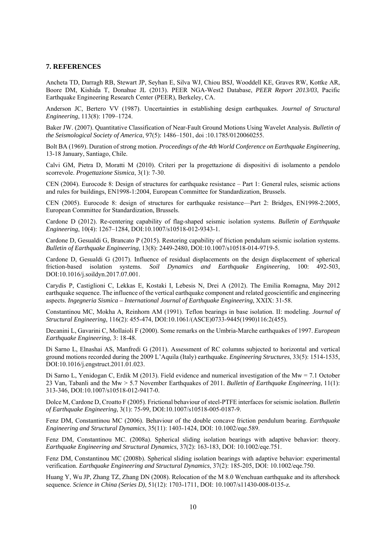#### **7. REFERENCES**

Ancheta TD, Darragh RB, Stewart JP, Seyhan E, Silva WJ, Chiou BSJ, Wooddell KE, Graves RW, Kottke AR, Boore DM, Kishida T, Donahue JL (2013). PEER NGA-West2 Database, *PEER Report 2013/03*, Pacific Earthquake Engineering Research Center (PEER), Berkeley, CA.

Anderson JC, Bertero VV (1987). Uncertainties in establishing design earthquakes. *Journal of Structural Engineering*, 113(8): 1709–1724.

Baker JW. (2007). Quantitative Classification of Near-Fault Ground Motions Using Wavelet Analysis. *Bulletin of the Seismological Society of America*, 97(5): 1486–1501, doi :10.1785/0120060255.

Bolt BA (1969). Duration of strong motion. *Proceedings of the 4th World Conference on Earthquake Engineering*, 13-18 January, Santiago, Chile.

Calvi GM, Pietra D, Moratti M (2010). Criteri per la progettazione di dispositivi di isolamento a pendolo scorrevole. *Progettazione Sismica*, 3(1): 7-30.

CEN (2004). Eurocode 8: Design of structures for earthquake resistance – Part 1: General rules, seismic actions and rules for buildings, EN1998-1:2004, European Committee for Standardization, Brussels.

CEN (2005). Eurocode 8: design of structures for earthquake resistance—Part 2: Bridges, EN1998-2:2005, European Committee for Standardization, Brussels.

Cardone D (2012). Re-centering capability of flag-shaped seismic isolation systems. *Bulletin of Earthquake Engineering*, 10(4): 1267–1284, DOI:10.1007/s10518-012-9343-1.

Cardone D, Gesualdi G, Brancato P (2015). Restoring capability of friction pendulum seismic isolation systems. *Bulletin of Earthquake Engineering*, 13(8): 2449-2480, DOI:10.1007/s10518-014-9719-5.

Cardone D, Gesualdi G (2017). Influence of residual displacements on the design displacement of spherical friction-based isolation systems. *Soil Dynamics and Earthquake Engineering*, 100: 492-503, DOI:10.1016/j.soildyn.2017.07.001.

Carydis P, Castiglioni C, Lekkas E, Kostaki I, Lebesis N, Drei A (2012). The Emilia Romagna, May 2012 earthquake sequence. The influence of the vertical earthquake component and related geoscientific and engineering aspects. *Ingegneria Sismica – International Journal of Earthquake Engineering*, XXIX: 31-58.

Constantinou MC, Mokha A, Reinhorn AM (1991). Teflon bearings in base isolation. II: modeling. *Journal of Structural Engineering*, 116(2): 455-474, DOI:10.1061/(ASCE)0733-9445(1990)116:2(455).

Decanini L, Gavarini C, Mollaioli F (2000). Some remarks on the Umbria-Marche earthquakes of 1997. *European Earthquake Engineering*, 3: 18-48.

Di Sarno L, Elnashai AS, Manfredi G (2011). Assessment of RC columns subjected to horizontal and vertical ground motions recorded during the 2009 L'Aquila (Italy) earthquake. *Engineering Structures*, 33(5): 1514-1535, DOI:10.1016/j.engstruct.2011.01.023.

Di Sarno L, Yenidogan C, Erdik M (2013). Field evidence and numerical investigation of the Mw = 7.1 October 23 Van, Tabanli and the Mw > 5.7 November Earthquakes of 2011. *Bulletin of Earthquake Engineering*, 11(1): 313-346, DOI:10.1007/s10518-012-9417-0.

Dolce M, Cardone D, Croatto F (2005). Frictional behaviour of steel-PTFE interfaces for seismic isolation. *Bulletin of Earthquake Engineering*, 3(1): 75-99, DOI:10.1007/s10518-005-0187-9.

Fenz DM, Constantinou MC (2006). Behaviour of the double concave friction pendulum bearing. *Earthquake Engineering and Structural Dynamics*, 35(11): 1403-1424, DOI: 10.1002/eqe.589.

Fenz DM, Constantinou MC. (2008a). Spherical sliding isolation bearings with adaptive behavior: theory. *Earthquake Engineering and Structural Dynamics*, 37(2): 163-183, DOI: 10.1002/eqe.751.

Fenz DM, Constantinou MC (2008b). Spherical sliding isolation bearings with adaptive behavior: experimental verification. *Earthquake Engineering and Structural Dynamics*, 37(2): 185-205, DOI: 10.1002/eqe.750.

Huang Y, Wu JP, Zhang TZ, Zhang DN (2008). Relocation of the M 8.0 Wenchuan earthquake and its aftershock sequence. *Science in China (Series D)*, 51(12): 1703-1711, DOI: 10.1007/s11430-008-0135-z.